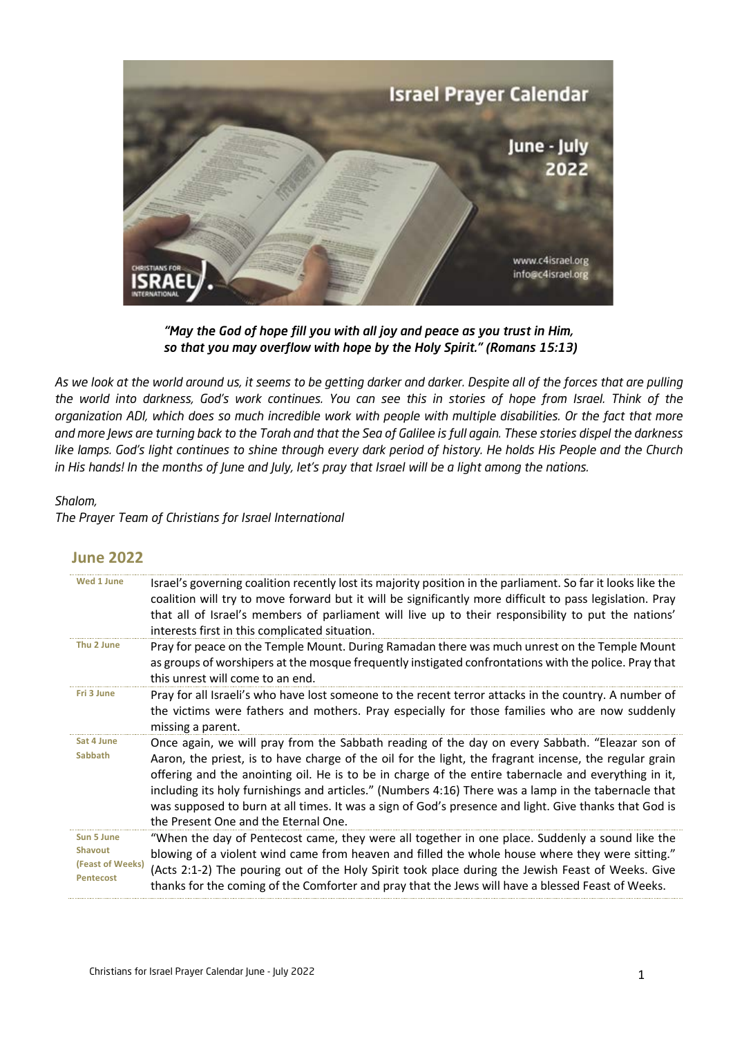

*"May the God of hope fill you with all joy and peace as you trust in Him, so that you may overflow with hope by the Holy Spirit." (Romans 15:13)*

*As we look at the world around us, it seems to be getting darker and darker. Despite all of the forces that are pulling the world into darkness, God's work continues. You can see this in stories of hope from Israel. Think of the organization ADI, which does so much incredible work with people with multiple disabilities. Or the fact that more and more Jews are turning back to the Torah and that the Sea of Galilee is full again. These stories dispel the darkness like lamps. God's light continues to shine through every dark period of history. He holds His People and the Church in His hands! In the months of June and July, let's pray that Israel will be a light among the nations.*

## *Shalom,*

*The Prayer Team of Christians for Israel International*

## **June 2022**

| Wed 1 June                                                           | Israel's governing coalition recently lost its majority position in the parliament. So far it looks like the<br>coalition will try to move forward but it will be significantly more difficult to pass legislation. Pray<br>that all of Israel's members of parliament will live up to their responsibility to put the nations'<br>interests first in this complicated situation.                                                                                                                                                                                         |
|----------------------------------------------------------------------|---------------------------------------------------------------------------------------------------------------------------------------------------------------------------------------------------------------------------------------------------------------------------------------------------------------------------------------------------------------------------------------------------------------------------------------------------------------------------------------------------------------------------------------------------------------------------|
| Thu 2 June                                                           | Pray for peace on the Temple Mount. During Ramadan there was much unrest on the Temple Mount<br>as groups of worshipers at the mosque frequently instigated confrontations with the police. Pray that<br>this unrest will come to an end.                                                                                                                                                                                                                                                                                                                                 |
| Fri 3 June                                                           | Pray for all Israeli's who have lost someone to the recent terror attacks in the country. A number of<br>the victims were fathers and mothers. Pray especially for those families who are now suddenly<br>missing a parent.                                                                                                                                                                                                                                                                                                                                               |
| Sat 4 June<br>Sabbath                                                | Once again, we will pray from the Sabbath reading of the day on every Sabbath. "Eleazar son of<br>Aaron, the priest, is to have charge of the oil for the light, the fragrant incense, the regular grain<br>offering and the anointing oil. He is to be in charge of the entire tabernacle and everything in it,<br>including its holy furnishings and articles." (Numbers 4:16) There was a lamp in the tabernacle that<br>was supposed to burn at all times. It was a sign of God's presence and light. Give thanks that God is<br>the Present One and the Eternal One. |
| Sun 5 June<br><b>Shavout</b><br>(Feast of Weeks)<br><b>Pentecost</b> | "When the day of Pentecost came, they were all together in one place. Suddenly a sound like the<br>blowing of a violent wind came from heaven and filled the whole house where they were sitting."<br>(Acts 2:1-2) The pouring out of the Holy Spirit took place during the Jewish Feast of Weeks. Give<br>thanks for the coming of the Comforter and pray that the Jews will have a blessed Feast of Weeks.                                                                                                                                                              |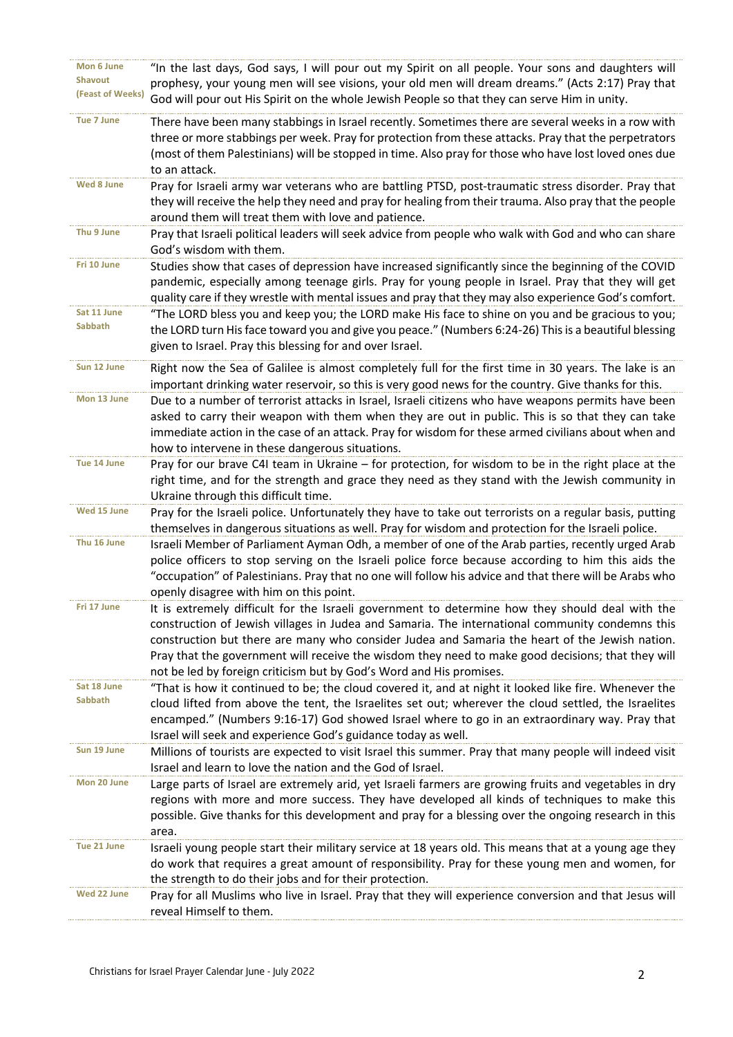| Mon 6 June        | "In the last days, God says, I will pour out my Spirit on all people. Your sons and daughters will      |
|-------------------|---------------------------------------------------------------------------------------------------------|
| <b>Shavout</b>    |                                                                                                         |
| (Feast of Weeks)  | prophesy, your young men will see visions, your old men will dream dreams." (Acts 2:17) Pray that       |
|                   | God will pour out His Spirit on the whole Jewish People so that they can serve Him in unity.            |
| <b>Tue 7 June</b> | There have been many stabbings in Israel recently. Sometimes there are several weeks in a row with      |
|                   | three or more stabbings per week. Pray for protection from these attacks. Pray that the perpetrators    |
|                   |                                                                                                         |
|                   | (most of them Palestinians) will be stopped in time. Also pray for those who have lost loved ones due   |
|                   | to an attack.                                                                                           |
| Wed 8 June        | Pray for Israeli army war veterans who are battling PTSD, post-traumatic stress disorder. Pray that     |
|                   | they will receive the help they need and pray for healing from their trauma. Also pray that the people  |
|                   | around them will treat them with love and patience.                                                     |
| Thu 9 June        | Pray that Israeli political leaders will seek advice from people who walk with God and who can share    |
|                   | God's wisdom with them.                                                                                 |
| Fri 10 June       | Studies show that cases of depression have increased significantly since the beginning of the COVID     |
|                   |                                                                                                         |
|                   | pandemic, especially among teenage girls. Pray for young people in Israel. Pray that they will get      |
|                   | quality care if they wrestle with mental issues and pray that they may also experience God's comfort.   |
| Sat 11 June       | "The LORD bless you and keep you; the LORD make His face to shine on you and be gracious to you;        |
| <b>Sabbath</b>    | the LORD turn His face toward you and give you peace." (Numbers 6:24-26) This is a beautiful blessing   |
|                   | given to Israel. Pray this blessing for and over Israel.                                                |
|                   |                                                                                                         |
| Sun 12 June       | Right now the Sea of Galilee is almost completely full for the first time in 30 years. The lake is an   |
|                   | important drinking water reservoir, so this is very good news for the country. Give thanks for this.    |
| Mon 13 June       | Due to a number of terrorist attacks in Israel, Israeli citizens who have weapons permits have been     |
|                   | asked to carry their weapon with them when they are out in public. This is so that they can take        |
|                   | immediate action in the case of an attack. Pray for wisdom for these armed civilians about when and     |
|                   | how to intervene in these dangerous situations.                                                         |
| Tue 14 June       | Pray for our brave C4I team in Ukraine - for protection, for wisdom to be in the right place at the     |
|                   | right time, and for the strength and grace they need as they stand with the Jewish community in         |
|                   |                                                                                                         |
|                   | Ukraine through this difficult time.                                                                    |
| Wed 15 June       | Pray for the Israeli police. Unfortunately they have to take out terrorists on a regular basis, putting |
|                   | themselves in dangerous situations as well. Pray for wisdom and protection for the Israeli police.      |
| Thu 16 June       | Israeli Member of Parliament Ayman Odh, a member of one of the Arab parties, recently urged Arab        |
|                   | police officers to stop serving on the Israeli police force because according to him this aids the      |
|                   | occupation" of Palestinians. Pray that no one will follow his advice and that there will be Arabs who"  |
|                   | openly disagree with him on this point.                                                                 |
| Fri 17 June       | It is extremely difficult for the Israeli government to determine how they should deal with the         |
|                   | construction of Jewish villages in Judea and Samaria. The international community condemns this         |
|                   | construction but there are many who consider Judea and Samaria the heart of the Jewish nation.          |
|                   |                                                                                                         |
|                   | Pray that the government will receive the wisdom they need to make good decisions; that they will       |
|                   | not be led by foreign criticism but by God's Word and His promises.                                     |
| Sat 18 June       | "That is how it continued to be; the cloud covered it, and at night it looked like fire. Whenever the   |
| <b>Sabbath</b>    | cloud lifted from above the tent, the Israelites set out; wherever the cloud settled, the Israelites    |
|                   | encamped." (Numbers 9:16-17) God showed Israel where to go in an extraordinary way. Pray that           |
|                   | Israel will seek and experience God's guidance today as well.                                           |
| Sun 19 June       | Millions of tourists are expected to visit Israel this summer. Pray that many people will indeed visit  |
|                   | Israel and learn to love the nation and the God of Israel.                                              |
| Mon 20 June       | Large parts of Israel are extremely arid, yet Israeli farmers are growing fruits and vegetables in dry  |
|                   |                                                                                                         |
|                   | regions with more and more success. They have developed all kinds of techniques to make this            |
|                   | possible. Give thanks for this development and pray for a blessing over the ongoing research in this    |
|                   | area.                                                                                                   |
| Tue 21 June       | Israeli young people start their military service at 18 years old. This means that at a young age they  |
|                   | do work that requires a great amount of responsibility. Pray for these young men and women, for         |
|                   | the strength to do their jobs and for their protection.                                                 |
| Wed 22 June       | Pray for all Muslims who live in Israel. Pray that they will experience conversion and that Jesus will  |
|                   | reveal Himself to them.                                                                                 |
|                   |                                                                                                         |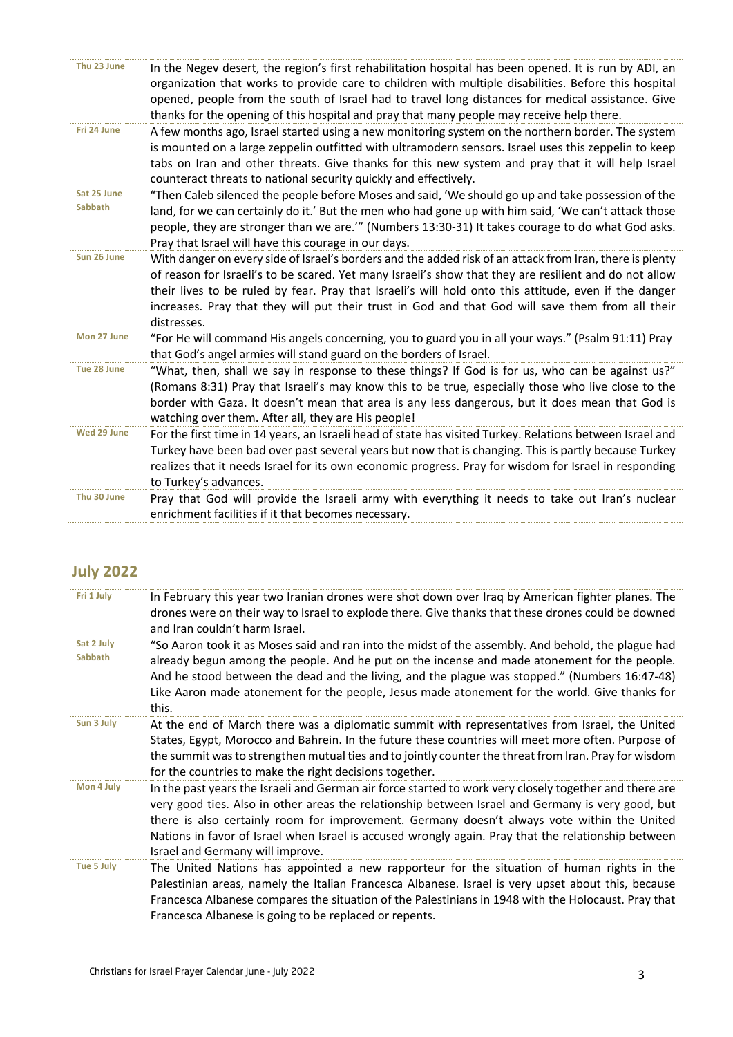| Thu 23 June<br>In the Negev desert, the region's first rehabilitation hospital has been opened. It is run by ADI, an<br>organization that works to provide care to children with multiple disabilities. Before this hospital<br>opened, people from the south of Israel had to travel long distances for medical assistance. Give<br>thanks for the opening of this hospital and pray that many people may receive help there.<br>Fri 24 June<br>A few months ago, Israel started using a new monitoring system on the northern border. The system<br>is mounted on a large zeppelin outfitted with ultramodern sensors. Israel uses this zeppelin to keep<br>tabs on Iran and other threats. Give thanks for this new system and pray that it will help Israel<br>counteract threats to national security quickly and effectively.<br>Sat 25 June<br>"Then Caleb silenced the people before Moses and said, 'We should go up and take possession of the<br>Sabbath<br>land, for we can certainly do it.' But the men who had gone up with him said, 'We can't attack those<br>people, they are stronger than we are."" (Numbers 13:30-31) It takes courage to do what God asks.<br>Pray that Israel will have this courage in our days.<br>Sun 26 June<br>With danger on every side of Israel's borders and the added risk of an attack from Iran, there is plenty<br>of reason for Israeli's to be scared. Yet many Israeli's show that they are resilient and do not allow<br>their lives to be ruled by fear. Pray that Israeli's will hold onto this attitude, even if the danger<br>increases. Pray that they will put their trust in God and that God will save them from all their<br>distresses.<br>Mon 27 June<br>"For He will command His angels concerning, you to guard you in all your ways." (Psalm 91:11) Pray<br>that God's angel armies will stand guard on the borders of Israel.<br>Tue 28 June<br>"What, then, shall we say in response to these things? If God is for us, who can be against us?"<br>(Romans 8:31) Pray that Israeli's may know this to be true, especially those who live close to the<br>border with Gaza. It doesn't mean that area is any less dangerous, but it does mean that God is<br>watching over them. After all, they are His people!<br>Wed 29 June<br>For the first time in 14 years, an Israeli head of state has visited Turkey. Relations between Israel and<br>Turkey have been bad over past several years but now that is changing. This is partly because Turkey<br>realizes that it needs Israel for its own economic progress. Pray for wisdom for Israel in responding<br>to Turkey's advances.<br>Thu 30 June<br>Pray that God will provide the Israeli army with everything it needs to take out Iran's nuclear<br>enrichment facilities if it that becomes necessary. |  |  |
|----------------------------------------------------------------------------------------------------------------------------------------------------------------------------------------------------------------------------------------------------------------------------------------------------------------------------------------------------------------------------------------------------------------------------------------------------------------------------------------------------------------------------------------------------------------------------------------------------------------------------------------------------------------------------------------------------------------------------------------------------------------------------------------------------------------------------------------------------------------------------------------------------------------------------------------------------------------------------------------------------------------------------------------------------------------------------------------------------------------------------------------------------------------------------------------------------------------------------------------------------------------------------------------------------------------------------------------------------------------------------------------------------------------------------------------------------------------------------------------------------------------------------------------------------------------------------------------------------------------------------------------------------------------------------------------------------------------------------------------------------------------------------------------------------------------------------------------------------------------------------------------------------------------------------------------------------------------------------------------------------------------------------------------------------------------------------------------------------------------------------------------------------------------------------------------------------------------------------------------------------------------------------------------------------------------------------------------------------------------------------------------------------------------------------------------------------------------------------------------------------------------------------------------------------------------------------------------------------------------------------------------------------------------------------------------------------------------------------------------------------------------------------------------------------------------------------------------|--|--|
|                                                                                                                                                                                                                                                                                                                                                                                                                                                                                                                                                                                                                                                                                                                                                                                                                                                                                                                                                                                                                                                                                                                                                                                                                                                                                                                                                                                                                                                                                                                                                                                                                                                                                                                                                                                                                                                                                                                                                                                                                                                                                                                                                                                                                                                                                                                                                                                                                                                                                                                                                                                                                                                                                                                                                                                                                                        |  |  |
|                                                                                                                                                                                                                                                                                                                                                                                                                                                                                                                                                                                                                                                                                                                                                                                                                                                                                                                                                                                                                                                                                                                                                                                                                                                                                                                                                                                                                                                                                                                                                                                                                                                                                                                                                                                                                                                                                                                                                                                                                                                                                                                                                                                                                                                                                                                                                                                                                                                                                                                                                                                                                                                                                                                                                                                                                                        |  |  |
|                                                                                                                                                                                                                                                                                                                                                                                                                                                                                                                                                                                                                                                                                                                                                                                                                                                                                                                                                                                                                                                                                                                                                                                                                                                                                                                                                                                                                                                                                                                                                                                                                                                                                                                                                                                                                                                                                                                                                                                                                                                                                                                                                                                                                                                                                                                                                                                                                                                                                                                                                                                                                                                                                                                                                                                                                                        |  |  |
|                                                                                                                                                                                                                                                                                                                                                                                                                                                                                                                                                                                                                                                                                                                                                                                                                                                                                                                                                                                                                                                                                                                                                                                                                                                                                                                                                                                                                                                                                                                                                                                                                                                                                                                                                                                                                                                                                                                                                                                                                                                                                                                                                                                                                                                                                                                                                                                                                                                                                                                                                                                                                                                                                                                                                                                                                                        |  |  |
|                                                                                                                                                                                                                                                                                                                                                                                                                                                                                                                                                                                                                                                                                                                                                                                                                                                                                                                                                                                                                                                                                                                                                                                                                                                                                                                                                                                                                                                                                                                                                                                                                                                                                                                                                                                                                                                                                                                                                                                                                                                                                                                                                                                                                                                                                                                                                                                                                                                                                                                                                                                                                                                                                                                                                                                                                                        |  |  |
|                                                                                                                                                                                                                                                                                                                                                                                                                                                                                                                                                                                                                                                                                                                                                                                                                                                                                                                                                                                                                                                                                                                                                                                                                                                                                                                                                                                                                                                                                                                                                                                                                                                                                                                                                                                                                                                                                                                                                                                                                                                                                                                                                                                                                                                                                                                                                                                                                                                                                                                                                                                                                                                                                                                                                                                                                                        |  |  |
|                                                                                                                                                                                                                                                                                                                                                                                                                                                                                                                                                                                                                                                                                                                                                                                                                                                                                                                                                                                                                                                                                                                                                                                                                                                                                                                                                                                                                                                                                                                                                                                                                                                                                                                                                                                                                                                                                                                                                                                                                                                                                                                                                                                                                                                                                                                                                                                                                                                                                                                                                                                                                                                                                                                                                                                                                                        |  |  |
|                                                                                                                                                                                                                                                                                                                                                                                                                                                                                                                                                                                                                                                                                                                                                                                                                                                                                                                                                                                                                                                                                                                                                                                                                                                                                                                                                                                                                                                                                                                                                                                                                                                                                                                                                                                                                                                                                                                                                                                                                                                                                                                                                                                                                                                                                                                                                                                                                                                                                                                                                                                                                                                                                                                                                                                                                                        |  |  |

## **July 2022**

| Fri 1 July<br>In February this year two Iranian drones were shot down over Iraq by American fighter planes. The                                                                                                                                                                                                                                                                                                                                                     |  |
|---------------------------------------------------------------------------------------------------------------------------------------------------------------------------------------------------------------------------------------------------------------------------------------------------------------------------------------------------------------------------------------------------------------------------------------------------------------------|--|
| drones were on their way to Israel to explode there. Give thanks that these drones could be downed<br>and Iran couldn't harm Israel.                                                                                                                                                                                                                                                                                                                                |  |
| Sat 2 July<br>"So Aaron took it as Moses said and ran into the midst of the assembly. And behold, the plague had<br><b>Sabbath</b><br>already begun among the people. And he put on the incense and made atonement for the people.<br>And he stood between the dead and the living, and the plague was stopped." (Numbers 16:47-48)<br>Like Aaron made atonement for the people, Jesus made atonement for the world. Give thanks for<br>this.                       |  |
| Sun 3 July<br>At the end of March there was a diplomatic summit with representatives from Israel, the United<br>States, Egypt, Morocco and Bahrein. In the future these countries will meet more often. Purpose of<br>the summit was to strengthen mutual ties and to jointly counter the threat from Iran. Pray for wisdom<br>for the countries to make the right decisions together.                                                                              |  |
| Mon 4 July<br>In the past years the Israeli and German air force started to work very closely together and there are<br>very good ties. Also in other areas the relationship between Israel and Germany is very good, but<br>there is also certainly room for improvement. Germany doesn't always vote within the United<br>Nations in favor of Israel when Israel is accused wrongly again. Pray that the relationship between<br>Israel and Germany will improve. |  |
| Tue 5 July<br>The United Nations has appointed a new rapporteur for the situation of human rights in the<br>Palestinian areas, namely the Italian Francesca Albanese. Israel is very upset about this, because<br>Francesca Albanese compares the situation of the Palestinians in 1948 with the Holocaust. Pray that<br>Francesca Albanese is going to be replaced or repents.                                                                                     |  |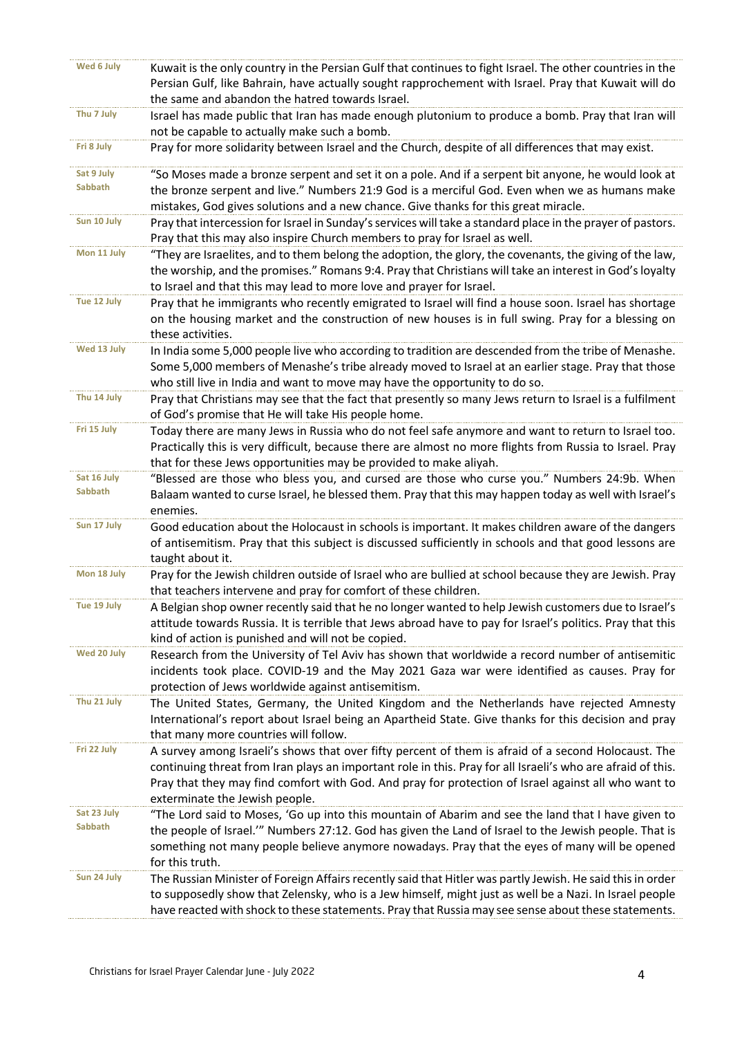| Wed 6 July                    | Kuwait is the only country in the Persian Gulf that continues to fight Israel. The other countries in the         |
|-------------------------------|-------------------------------------------------------------------------------------------------------------------|
|                               | Persian Gulf, like Bahrain, have actually sought rapprochement with Israel. Pray that Kuwait will do              |
|                               | the same and abandon the hatred towards Israel.                                                                   |
| Thu 7 July                    | Israel has made public that Iran has made enough plutonium to produce a bomb. Pray that Iran will                 |
|                               | not be capable to actually make such a bomb.                                                                      |
| Fri 8 July                    | Pray for more solidarity between Israel and the Church, despite of all differences that may exist.                |
| Sat 9 July                    | "So Moses made a bronze serpent and set it on a pole. And if a serpent bit anyone, he would look at               |
| Sabbath                       | the bronze serpent and live." Numbers 21:9 God is a merciful God. Even when we as humans make                     |
|                               | mistakes, God gives solutions and a new chance. Give thanks for this great miracle.                               |
| Sun 10 July                   | Pray that intercession for Israel in Sunday's services will take a standard place in the prayer of pastors.       |
|                               | Pray that this may also inspire Church members to pray for Israel as well.                                        |
| Mon 11 July                   | "They are Israelites, and to them belong the adoption, the glory, the covenants, the giving of the law,           |
|                               | the worship, and the promises." Romans 9:4. Pray that Christians will take an interest in God's loyalty           |
|                               | to Israel and that this may lead to more love and prayer for Israel.                                              |
| Tue 12 July                   | Pray that he immigrants who recently emigrated to Israel will find a house soon. Israel has shortage              |
|                               | on the housing market and the construction of new houses is in full swing. Pray for a blessing on                 |
|                               | these activities.                                                                                                 |
| Wed 13 July                   | In India some 5,000 people live who according to tradition are descended from the tribe of Menashe.               |
|                               | Some 5,000 members of Menashe's tribe already moved to Israel at an earlier stage. Pray that those                |
|                               | who still live in India and want to move may have the opportunity to do so.                                       |
| Thu 14 July                   | Pray that Christians may see that the fact that presently so many Jews return to Israel is a fulfilment           |
|                               | of God's promise that He will take His people home.                                                               |
| Fri 15 July                   | Today there are many Jews in Russia who do not feel safe anymore and want to return to Israel too.                |
|                               | Practically this is very difficult, because there are almost no more flights from Russia to Israel. Pray          |
| Sat 16 July                   | that for these Jews opportunities may be provided to make aliyah.                                                 |
| <b>Sabbath</b>                | "Blessed are those who bless you, and cursed are those who curse you." Numbers 24:9b. When                        |
|                               | Balaam wanted to curse Israel, he blessed them. Pray that this may happen today as well with Israel's<br>enemies. |
| Sun 17 July                   | Good education about the Holocaust in schools is important. It makes children aware of the dangers                |
|                               | of antisemitism. Pray that this subject is discussed sufficiently in schools and that good lessons are            |
|                               | taught about it.                                                                                                  |
| Mon 18 July                   | Pray for the Jewish children outside of Israel who are bullied at school because they are Jewish. Pray            |
|                               | that teachers intervene and pray for comfort of these children.                                                   |
| Tue 19 July                   | A Belgian shop owner recently said that he no longer wanted to help Jewish customers due to Israel's              |
|                               | attitude towards Russia. It is terrible that Jews abroad have to pay for Israel's politics. Pray that this        |
|                               | kind of action is punished and will not be copied.                                                                |
| Wed 20 July                   | Research from the University of Tel Aviv has shown that worldwide a record number of antisemitic                  |
|                               | incidents took place. COVID-19 and the May 2021 Gaza war were identified as causes. Pray for                      |
|                               | protection of Jews worldwide against antisemitism.                                                                |
| Thu 21 July                   | The United States, Germany, the United Kingdom and the Netherlands have rejected Amnesty                          |
|                               | International's report about Israel being an Apartheid State. Give thanks for this decision and pray              |
|                               | that many more countries will follow.                                                                             |
| Fri 22 July                   | A survey among Israeli's shows that over fifty percent of them is afraid of a second Holocaust. The               |
|                               | continuing threat from Iran plays an important role in this. Pray for all Israeli's who are afraid of this.       |
|                               | Pray that they may find comfort with God. And pray for protection of Israel against all who want to               |
|                               | exterminate the Jewish people.                                                                                    |
| Sat 23 July<br><b>Sabbath</b> | "The Lord said to Moses, 'Go up into this mountain of Abarim and see the land that I have given to                |
|                               | the people of Israel."" Numbers 27:12. God has given the Land of Israel to the Jewish people. That is             |
|                               | something not many people believe anymore nowadays. Pray that the eyes of many will be opened                     |
|                               | for this truth.                                                                                                   |
| Sun 24 July                   | The Russian Minister of Foreign Affairs recently said that Hitler was partly Jewish. He said this in order        |
|                               | to supposedly show that Zelensky, who is a Jew himself, might just as well be a Nazi. In Israel people            |
|                               | have reacted with shock to these statements. Pray that Russia may see sense about these statements.               |